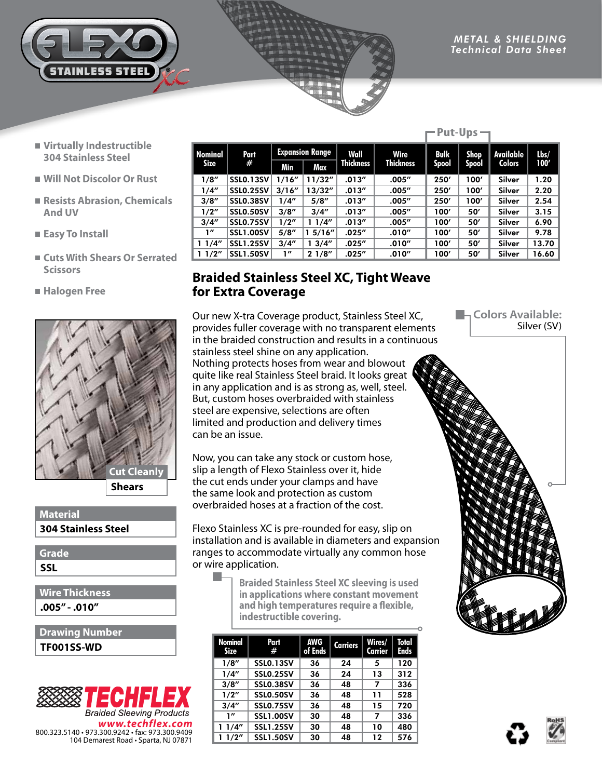

**Put-Ups** →

- **Virtually Indestructible 304 Stainless Steel**
- **Will Not Discolor Or Rust**
- **Resists Abrasion, Chemicals And UV**
- **Easy To Install**
- **Cuts With Shears Or Serrated Scissors**
- **Halogen Free**



**Shears**

## **304 Stainless Steel Material**

**Grade**

**SSL**

**.005" - .010" Wire Thickness**

**TF001SS-WD Drawing Number**



| Nominal<br><b>Size</b> | Part<br>#        | <b>Expansion Range</b> |         | Wall             | Wire             | <b>Bulk</b>  | Shop  | Available | $l$ bs/ |
|------------------------|------------------|------------------------|---------|------------------|------------------|--------------|-------|-----------|---------|
|                        |                  | Min                    | Max     | <b>Thickness</b> | <b>Thickness</b> | <b>Spool</b> | Spool | Colors    | 100'    |
| 1/8''                  | <b>SSLO.13SV</b> | 1/16''                 | 11/32'' | .013''           | .005''           | 250'         | 100'  | Silver    | 1.20    |
| 1/4"                   | <b>SSLO.25SV</b> | 3/16''                 | 13/32'' | .013''           | .005''           | 250'         | 100'  | Silver    | 2.20    |
| 3/8''                  | <b>SSL0.38SV</b> | 1/4''                  | 5/8''   | .013''           | .005''           | 250'         | 100'  | Silver    | 2.54    |
| 1/2"                   | <b>SSLO.50SV</b> | 3/8''                  | 3/4''   | .013''           | .005''           | 100'         | 50'   | Silver    | 3.15    |
| 3/4''                  | <b>SSLO.75SV</b> | 1/2''                  | 11/4"   | .013''           | .005''           | 100'         | 50'   | Silver    | 6.90    |
| 1''                    | <b>SSL1.00SV</b> | 5/8''                  | 15/16'' | .025''           | .010''           | 100'         | 50'   | Silver    | 9.78    |
| 11/4"                  | <b>SSL1.25SV</b> | 3/4''                  | 13/4''  | .025''           | .010''           | 100'         | 50'   | Silver    | 13.70   |
| 11/2"                  | <b>SSL1.50SV</b> | 1''                    | 21/8''  | .025''           | .010''           | 100'         | 50'   | Silver    | 16.60   |
|                        |                  |                        |         |                  |                  |              |       |           |         |

## **Braided Stainless Steel XC, Tight Weave for Extra Coverage**

Our new X-tra Coverage product, Stainless Steel XC, provides fuller coverage with no transparent elements in the braided construction and results in a continuous stainless steel shine on any application. Nothing protects hoses from wear and blowout quite like real Stainless Steel braid. It looks great in any application and is as strong as, well, steel. But, custom hoses overbraided with stainless steel are expensive, selections are often limited and production and delivery times can be an issue.

Now, you can take any stock or custom hose, slip a length of Flexo Stainless over it, hide the cut ends under your clamps and have the same look and protection as custom overbraided hoses at a fraction of the cost.

Flexo Stainless XC is pre-rounded for easy, slip on installation and is available in diameters and expansion ranges to accommodate virtually any common hose or wire application.

> **Braided Stainless Steel XC sleeving is used in applications where constant movement and high temperatures require a flexible, indestructible covering.**

| Nominal<br><b>Size</b> | Part<br>#        | <b>AWG</b><br>of Ends | <b>Carriers</b> | Wires/<br>Carrier | Total<br>Ends |
|------------------------|------------------|-----------------------|-----------------|-------------------|---------------|
| 1/8"                   | <b>SSLO.13SV</b> | 36                    | 24              | 5                 | 120           |
| 1/4"                   | <b>SSLO.25SV</b> | 36                    | 24              | 13                | 312           |
| 3/8''                  | <b>SSLO.38SV</b> | 36                    | 48              | 7                 | 336           |
| 1/2"                   | SSLO.50SV        | 36                    | 48              | 11                | 528           |
| 3/4''                  | <b>SSLO.75SV</b> | 36                    | 48              | 15                | 720           |
| $\mathbf{1}''$         | <b>SSL1.00SV</b> | 30                    | 48              | 7                 | 336           |
| 11/4"                  | <b>SSL1.25SV</b> | 30                    | 48              | 10                | 480           |
| 11/2"                  | <b>SSL1.50SV</b> | 30                    | 48              | 12                | 576           |

**La Colors Available:** Silver (SV)